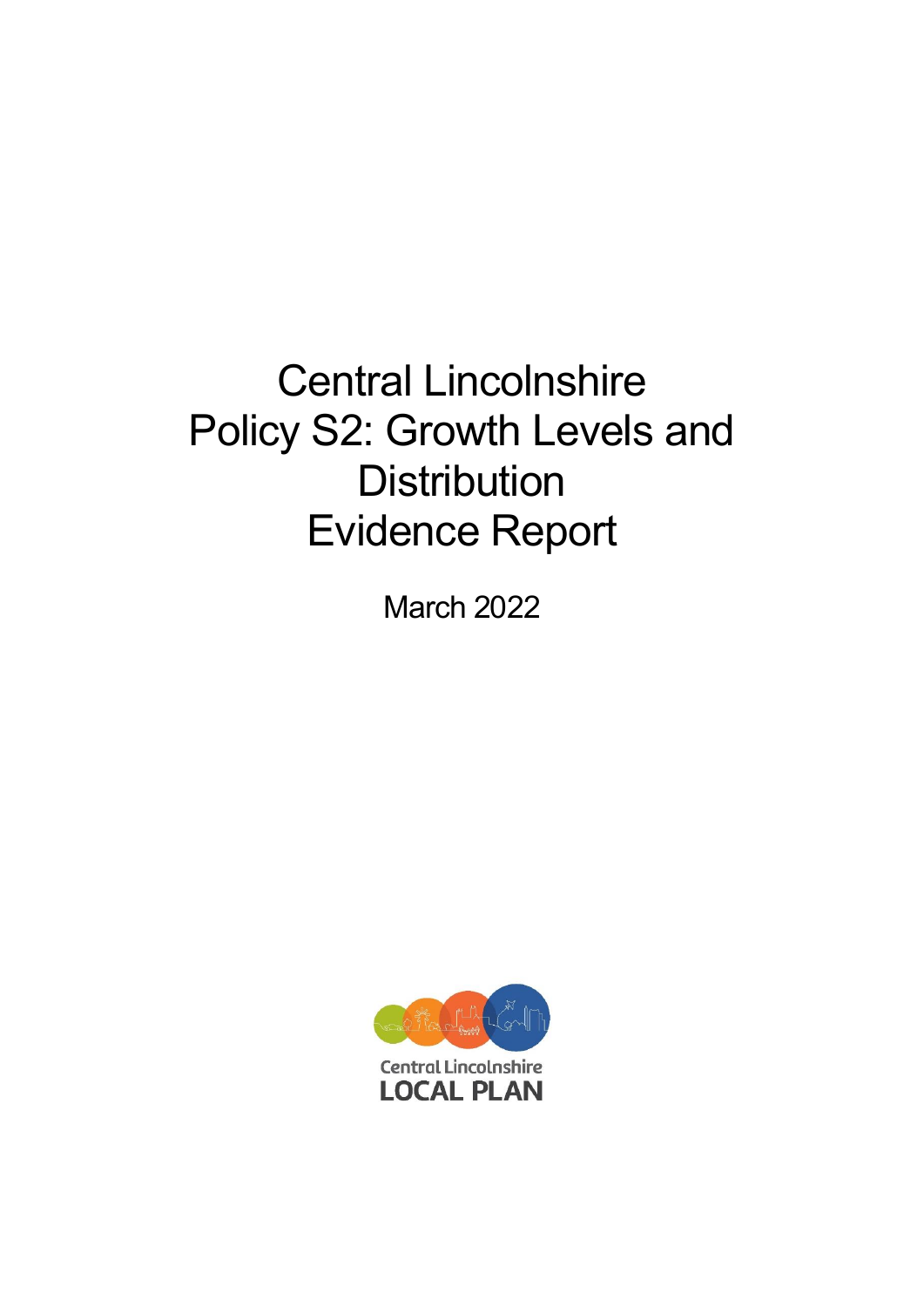# Central Lincolnshire Policy S2: Growth Levels and **Distribution** Evidence Report

March 2022

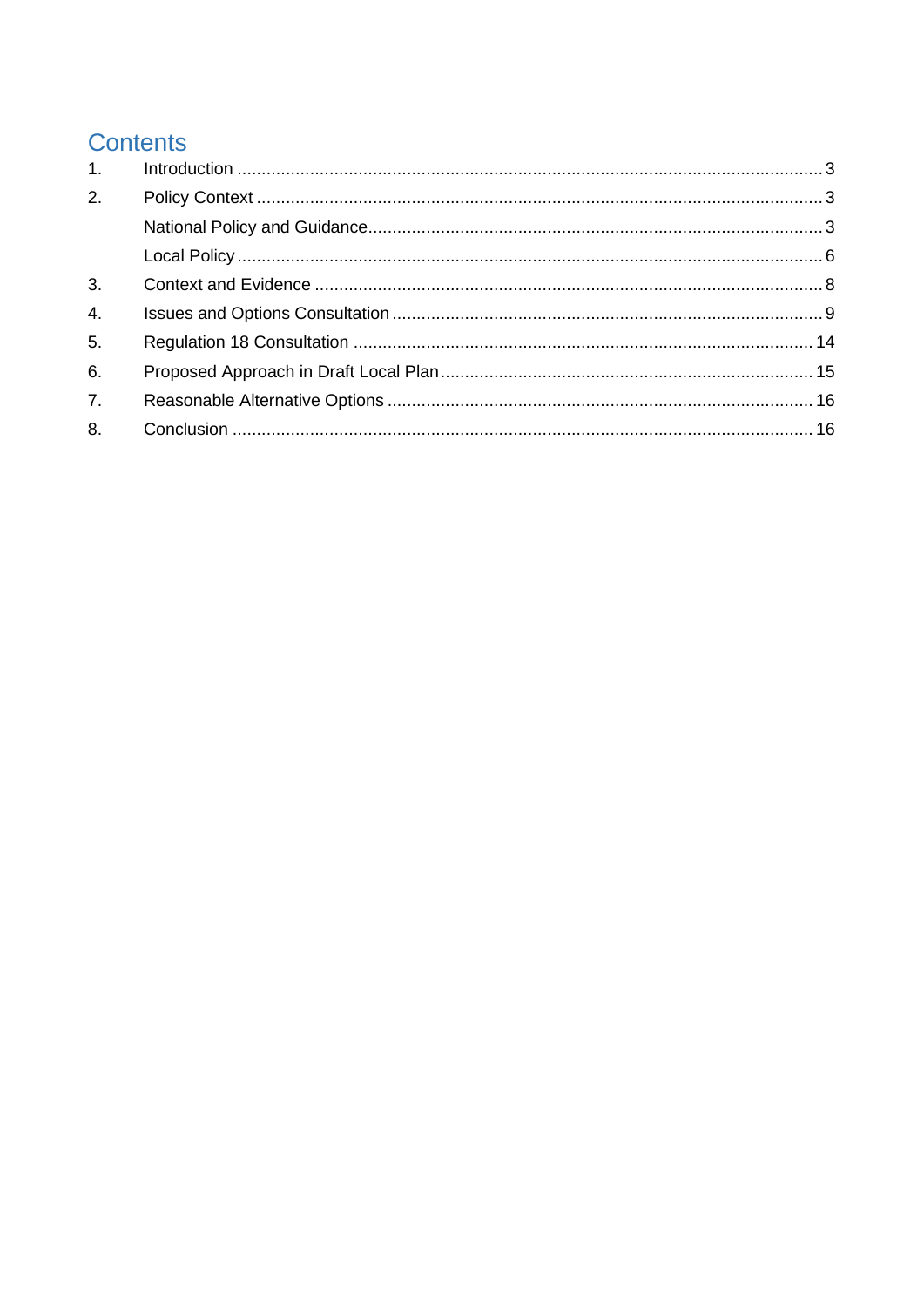# **Contents**

| 1.               |  |
|------------------|--|
| 2.               |  |
|                  |  |
|                  |  |
| 3.               |  |
| $\overline{4}$ . |  |
| 5 <sub>1</sub>   |  |
| 6.               |  |
| 7.               |  |
| 8.               |  |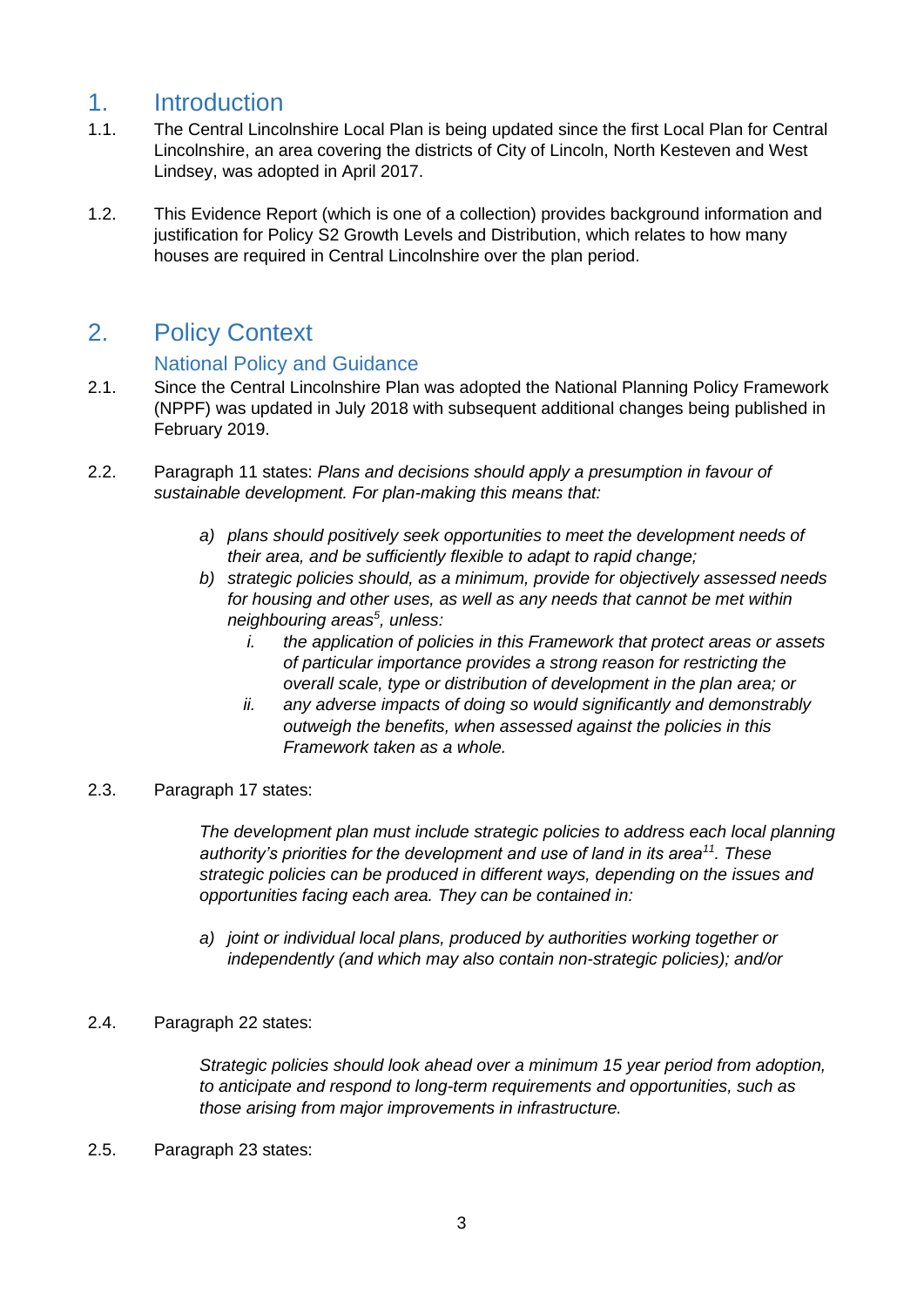### <span id="page-2-0"></span>1. Introduction

- 1.1. The Central Lincolnshire Local Plan is being updated since the first Local Plan for Central Lincolnshire, an area covering the districts of City of Lincoln, North Kesteven and West Lindsey, was adopted in April 2017.
- 1.2. This Evidence Report (which is one of a collection) provides background information and justification for Policy S2 Growth Levels and Distribution, which relates to how many houses are required in Central Lincolnshire over the plan period.

### <span id="page-2-1"></span>2. Policy Context

#### National Policy and Guidance

- <span id="page-2-2"></span>2.1. Since the Central Lincolnshire Plan was adopted the National Planning Policy Framework (NPPF) was updated in July 2018 with subsequent additional changes being published in February 2019.
- 2.2. Paragraph 11 states: *Plans and decisions should apply a presumption in favour of sustainable development. For plan-making this means that:* 
	- *a) plans should positively seek opportunities to meet the development needs of their area, and be sufficiently flexible to adapt to rapid change;*
	- *b) strategic policies should, as a minimum, provide for objectively assessed needs for housing and other uses, as well as any needs that cannot be met within neighbouring areas<sup>5</sup> , unless:* 
		- *i. the application of policies in this Framework that protect areas or assets of particular importance provides a strong reason for restricting the overall scale, type or distribution of development in the plan area; or*
		- *ii. any adverse impacts of doing so would significantly and demonstrably outweigh the benefits, when assessed against the policies in this Framework taken as a whole.*

#### 2.3. Paragraph 17 states:

*The development plan must include strategic policies to address each local planning authority's priorities for the development and use of land in its area<sup>11</sup>. These strategic policies can be produced in different ways, depending on the issues and opportunities facing each area. They can be contained in:* 

*a) joint or individual local plans, produced by authorities working together or independently (and which may also contain non-strategic policies); and/or*

#### 2.4. Paragraph 22 states:

*Strategic policies should look ahead over a minimum 15 year period from adoption, to anticipate and respond to long-term requirements and opportunities, such as those arising from major improvements in infrastructure.* 

#### 2.5. Paragraph 23 states: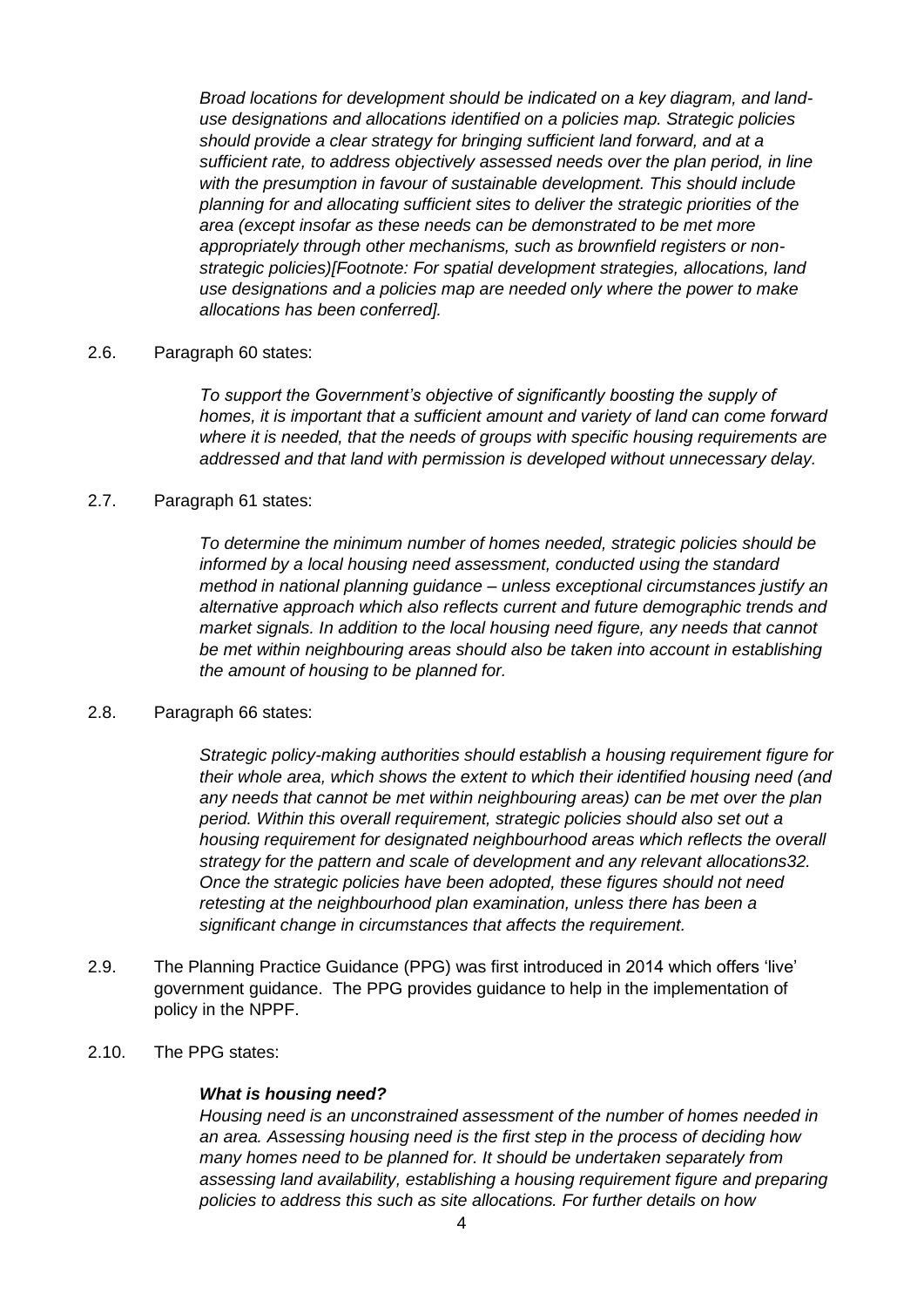*Broad locations for development should be indicated on a key diagram, and landuse designations and allocations identified on a policies map. Strategic policies should provide a clear strategy for bringing sufficient land forward, and at a sufficient rate, to address objectively assessed needs over the plan period, in line with the presumption in favour of sustainable development. This should include planning for and allocating sufficient sites to deliver the strategic priorities of the area (except insofar as these needs can be demonstrated to be met more appropriately through other mechanisms, such as brownfield registers or nonstrategic policies)[Footnote: For spatial development strategies, allocations, land use designations and a policies map are needed only where the power to make allocations has been conferred].* 

#### 2.6. Paragraph 60 states:

*To support the Government's objective of significantly boosting the supply of homes, it is important that a sufficient amount and variety of land can come forward where it is needed, that the needs of groups with specific housing requirements are addressed and that land with permission is developed without unnecessary delay.* 

#### 2.7. Paragraph 61 states:

*To determine the minimum number of homes needed, strategic policies should be informed by a local housing need assessment, conducted using the standard method in national planning guidance – unless exceptional circumstances justify an alternative approach which also reflects current and future demographic trends and market signals. In addition to the local housing need figure, any needs that cannot be met within neighbouring areas should also be taken into account in establishing the amount of housing to be planned for.*

#### 2.8. Paragraph 66 states:

*Strategic policy-making authorities should establish a housing requirement figure for their whole area, which shows the extent to which their identified housing need (and any needs that cannot be met within neighbouring areas) can be met over the plan period. Within this overall requirement, strategic policies should also set out a housing requirement for designated neighbourhood areas which reflects the overall strategy for the pattern and scale of development and any relevant allocations32. Once the strategic policies have been adopted, these figures should not need retesting at the neighbourhood plan examination, unless there has been a significant change in circumstances that affects the requirement.*

- 2.9. The Planning Practice Guidance (PPG) was first introduced in 2014 which offers 'live' government guidance. The PPG provides guidance to help in the implementation of policy in the NPPF.
- 2.10. The PPG states:

#### *What is housing need?*

*Housing need is an unconstrained assessment of the number of homes needed in an area. Assessing housing need is the first step in the process of deciding how many homes need to be planned for. It should be undertaken separately from assessing land availability, establishing a housing requirement figure and preparing policies to address this such as site allocations. For further details on how*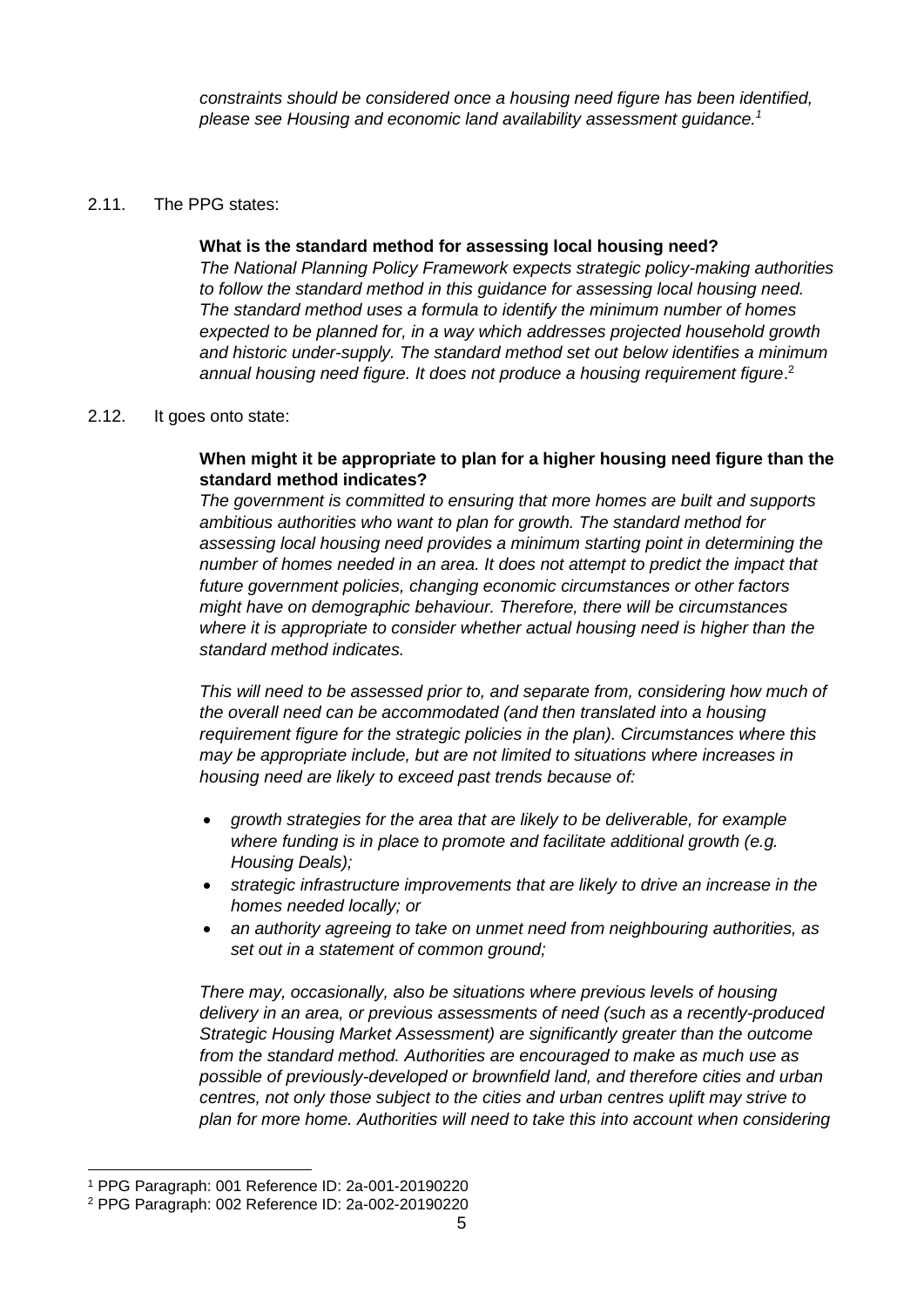*constraints should be considered once a housing need figure has been identified, please see Housing and economic land availability assessment guidance.<sup>1</sup>*

#### 2.11. The PPG states:

#### **What is the standard method for assessing local housing need?**

*The National Planning Policy Framework expects strategic policy-making authorities to follow the standard method in this guidance for assessing local housing need. The standard method uses a formula to identify the minimum number of homes expected to be planned for, in a way which addresses projected household growth and historic under-supply. The standard method set out below identifies a minimum*  annual housing need figure. It does not produce a housing requirement figure.<sup>2</sup>

#### 2.12. It goes onto state:

#### **When might it be appropriate to plan for a higher housing need figure than the standard method indicates?**

*The government is committed to ensuring that more homes are built and supports ambitious authorities who want to plan for growth. The standard method for assessing local housing need provides a minimum starting point in determining the number of homes needed in an area. It does not attempt to predict the impact that future government policies, changing economic circumstances or other factors might have on demographic behaviour. Therefore, there will be circumstances where it is appropriate to consider whether actual housing need is higher than the standard method indicates.*

*This will need to be assessed prior to, and separate from, considering how much of the overall need can be accommodated (and then translated into a housing requirement figure for the strategic policies in the plan). Circumstances where this may be appropriate include, but are not limited to situations where increases in housing need are likely to exceed past trends because of:*

- *growth strategies for the area that are likely to be deliverable, for example where funding is in place to promote and facilitate additional growth (e.g. Housing Deals);*
- *strategic infrastructure improvements that are likely to drive an increase in the homes needed locally; or*
- *an authority agreeing to take on unmet need from neighbouring authorities, as set out in a statement of common ground;*

*There may, occasionally, also be situations where previous levels of housing delivery in an area, or previous assessments of need (such as a recently-produced Strategic Housing Market Assessment) are significantly greater than the outcome from the standard method. Authorities are encouraged to make as much use as possible of previously-developed or brownfield land, and therefore cities and urban centres, not only those subject to the cities and urban centres uplift may strive to plan for more home. Authorities will need to take this into account when considering* 

<sup>1</sup> PPG Paragraph: 001 Reference ID: 2a-001-20190220

<sup>2</sup> PPG Paragraph: 002 Reference ID: 2a-002-20190220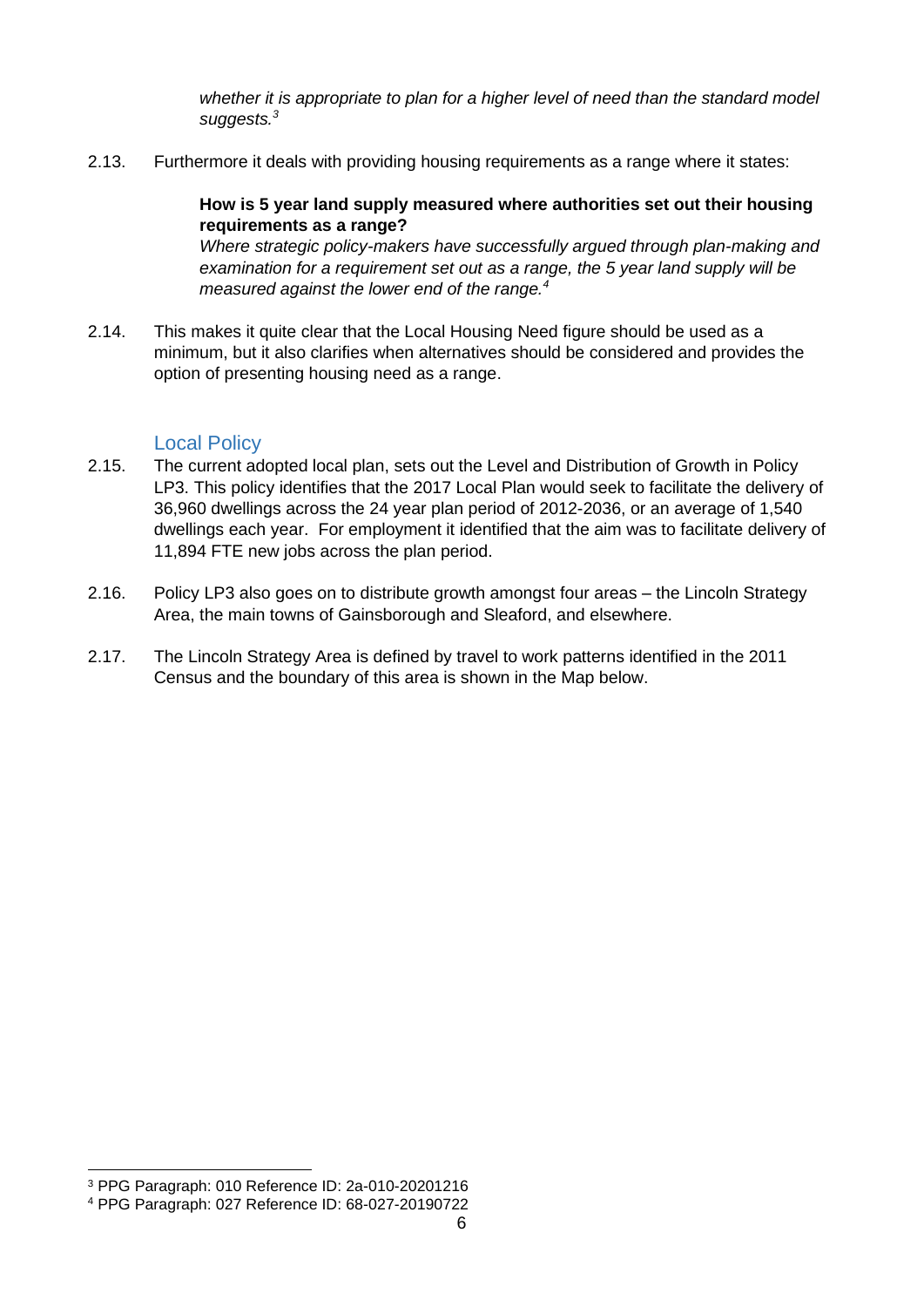whether it is appropriate to plan for a higher level of need than the standard model *suggests.<sup>3</sup>*

2.13. Furthermore it deals with providing housing requirements as a range where it states:

#### **How is 5 year land supply measured where authorities set out their housing requirements as a range?**

*Where strategic policy-makers have successfully argued through plan-making and examination for a requirement set out as a range, the 5 year land supply will be measured against the lower end of the range.<sup>4</sup>*

2.14. This makes it quite clear that the Local Housing Need figure should be used as a minimum, but it also clarifies when alternatives should be considered and provides the option of presenting housing need as a range.

#### Local Policy

- <span id="page-5-0"></span>2.15. The current adopted local plan, sets out the Level and Distribution of Growth in Policy LP3. This policy identifies that the 2017 Local Plan would seek to facilitate the delivery of 36,960 dwellings across the 24 year plan period of 2012-2036, or an average of 1,540 dwellings each year. For employment it identified that the aim was to facilitate delivery of 11,894 FTE new jobs across the plan period.
- 2.16. Policy LP3 also goes on to distribute growth amongst four areas the Lincoln Strategy Area, the main towns of Gainsborough and Sleaford, and elsewhere.
- 2.17. The Lincoln Strategy Area is defined by travel to work patterns identified in the 2011 Census and the boundary of this area is shown in the Map below.

<sup>3</sup> PPG Paragraph: 010 Reference ID: 2a-010-20201216

<sup>4</sup> PPG Paragraph: 027 Reference ID: 68-027-20190722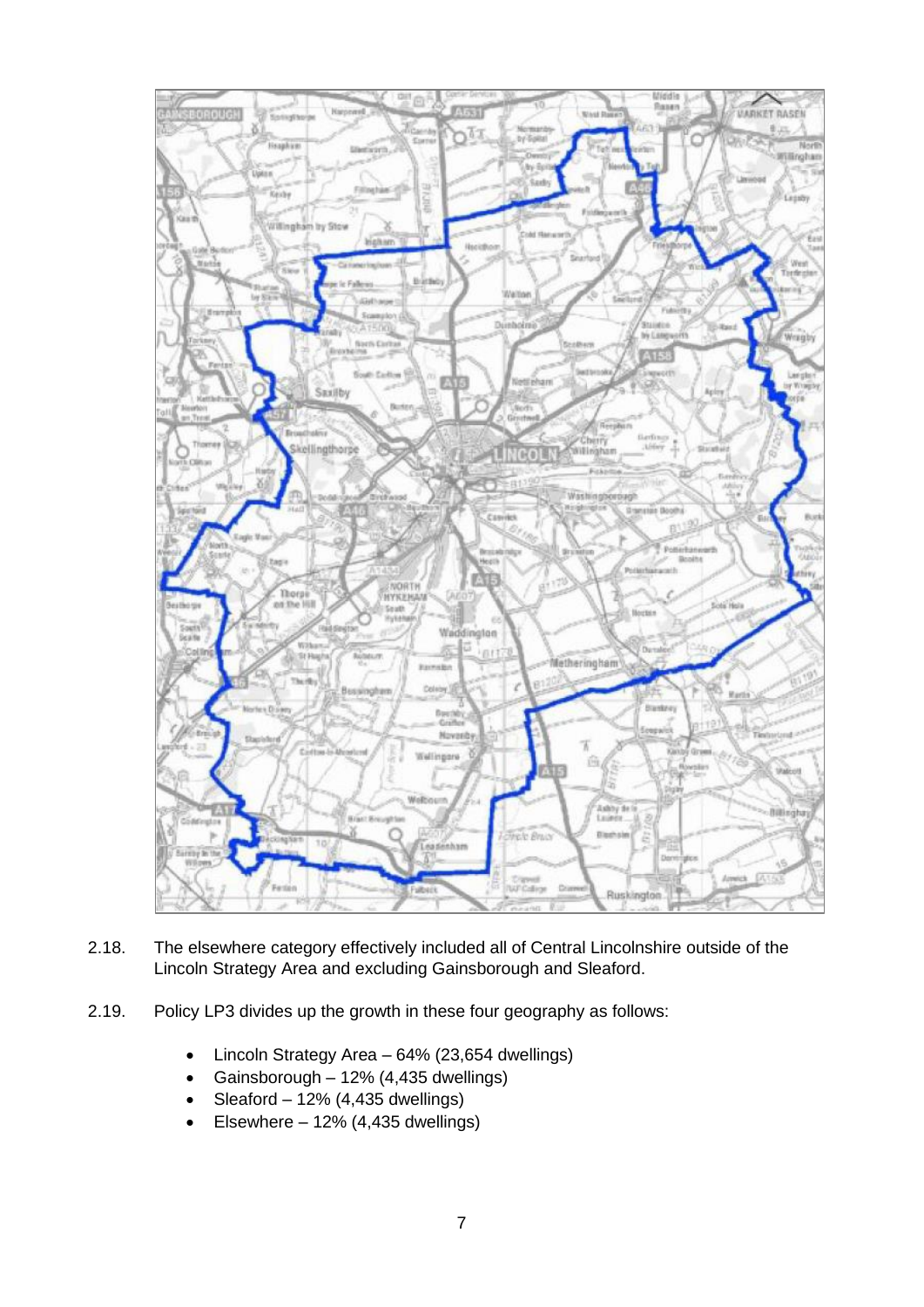

- 2.18. The elsewhere category effectively included all of Central Lincolnshire outside of the Lincoln Strategy Area and excluding Gainsborough and Sleaford.
- 2.19. Policy LP3 divides up the growth in these four geography as follows:
	- Lincoln Strategy Area 64% (23,654 dwellings)
	- Gainsborough 12% (4,435 dwellings)
	- Sleaford  $12\%$  (4,435 dwellings)
	- Elsewhere  $-12\%$  (4,435 dwellings)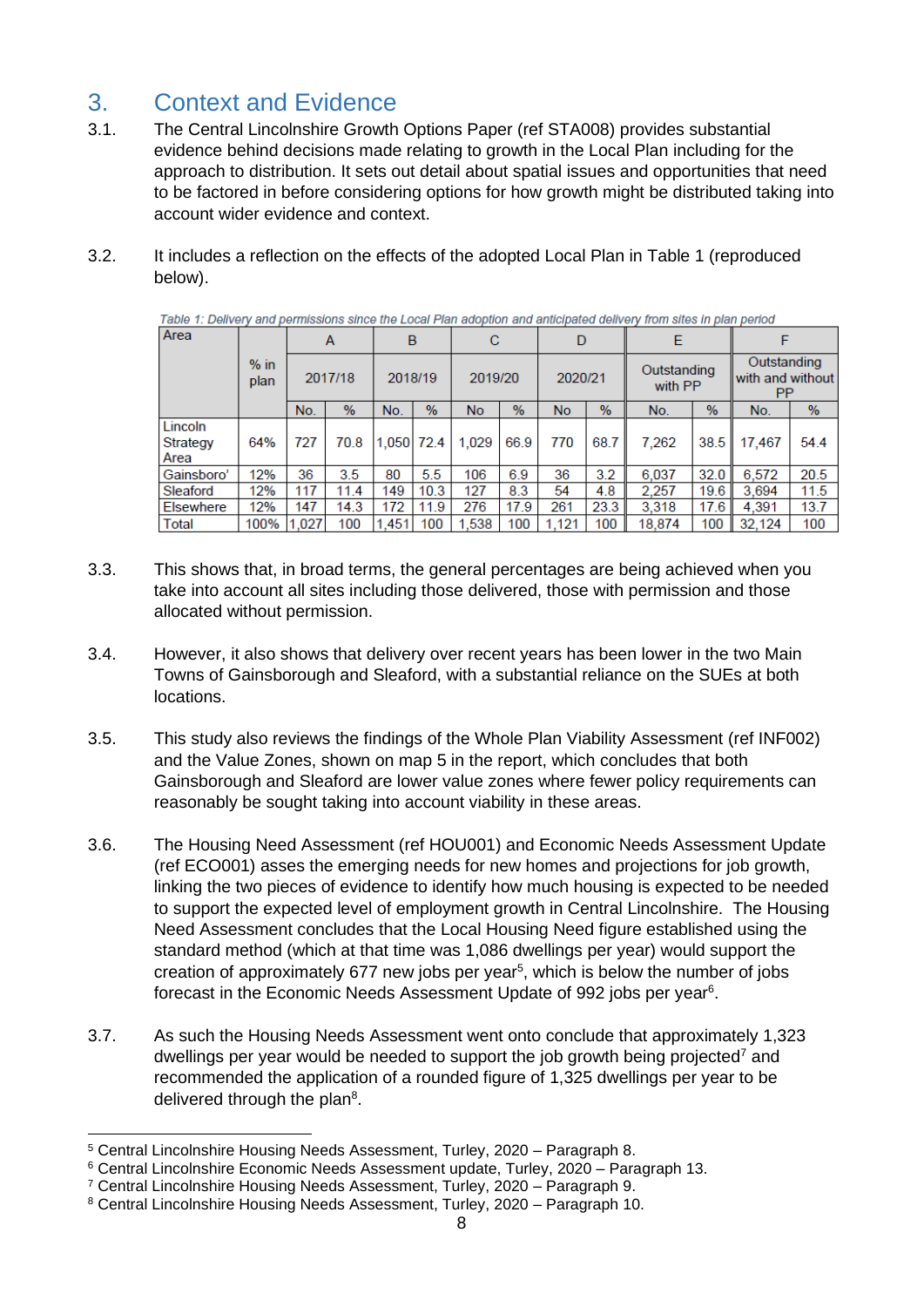# <span id="page-7-0"></span>3. Context and Evidence

- 3.1. The Central Lincolnshire Growth Options Paper (ref STA008) provides substantial evidence behind decisions made relating to growth in the Local Plan including for the approach to distribution. It sets out detail about spatial issues and opportunities that need to be factored in before considering options for how growth might be distributed taking into account wider evidence and context.
- 3.2. It includes a reflection on the effects of the adopted Local Plan in Table 1 (reproduced below).

| Area                        | $%$ in<br>plan | A       |               | B          |      | C         |      | D         |               | Е                      |               |                                       |      |
|-----------------------------|----------------|---------|---------------|------------|------|-----------|------|-----------|---------------|------------------------|---------------|---------------------------------------|------|
|                             |                | 2017/18 |               | 2018/19    |      | 2019/20   |      | 2020/21   |               | Outstanding<br>with PP |               | Outstanding<br>with and without<br>PP |      |
|                             |                | No.     | $\frac{9}{6}$ | No.        | $\%$ | <b>No</b> | $\%$ | <b>No</b> | $\frac{0}{0}$ | No.                    | $\frac{9}{6}$ | No.                                   | %    |
| Lincoln<br>Strategy<br>Area | 64%            | 727     | 70.8          | 1,050 72.4 |      | 1.029     | 66.9 | 770       | 68.7          | 7.262                  | 38.5          | 17,467                                | 54.4 |
| Gainsboro'                  | 12%            | 36      | 3.5           | 80         | 5.5  | 106       | 6.9  | 36        | 3.2           | 6.037                  | 32.0          | 6,572                                 | 20.5 |
| Sleaford                    | 12%            | 117     | 11.4          | 149        | 10.3 | 127       | 8.3  | 54        | 4.8           | 2.257                  | 19.6          | 3,694                                 | 11.5 |
| <b>Elsewhere</b>            | 12%            | 147     | 14.3          | 172        | 11.9 | 276       | 17.9 | 261       | 23.3          | 3,318                  | 17.6          | 4.391                                 | 13.7 |
| Total                       | 100%           | .027    | 100           | 1.451      | 100  | 1.538     | 100  | 1.121     | 100           | 18,874                 | 100           | 32.124                                | 100  |

Table 1: Delivery and permissions since the Local Plan adoption and anticipated delivery from sites in plan period

- 3.3. This shows that, in broad terms, the general percentages are being achieved when you take into account all sites including those delivered, those with permission and those allocated without permission.
- 3.4. However, it also shows that delivery over recent years has been lower in the two Main Towns of Gainsborough and Sleaford, with a substantial reliance on the SUEs at both locations.
- 3.5. This study also reviews the findings of the Whole Plan Viability Assessment (ref INF002) and the Value Zones, shown on map 5 in the report, which concludes that both Gainsborough and Sleaford are lower value zones where fewer policy requirements can reasonably be sought taking into account viability in these areas.
- 3.6. The Housing Need Assessment (ref HOU001) and Economic Needs Assessment Update (ref ECO001) asses the emerging needs for new homes and projections for job growth, linking the two pieces of evidence to identify how much housing is expected to be needed to support the expected level of employment growth in Central Lincolnshire. The Housing Need Assessment concludes that the Local Housing Need figure established using the standard method (which at that time was 1,086 dwellings per year) would support the creation of approximately  $677$  new jobs per year<sup>5</sup>, which is below the number of jobs forecast in the Economic Needs Assessment Update of 992 jobs per year<sup>6</sup>.
- 3.7. As such the Housing Needs Assessment went onto conclude that approximately 1,323 dwellings per year would be needed to support the job growth being projected<sup>7</sup> and recommended the application of a rounded figure of 1,325 dwellings per year to be delivered through the plan<sup>8</sup>.

<sup>5</sup> Central Lincolnshire Housing Needs Assessment, Turley, 2020 – Paragraph 8.

<sup>6</sup> Central Lincolnshire Economic Needs Assessment update, Turley, 2020 – Paragraph 13.

<sup>7</sup> Central Lincolnshire Housing Needs Assessment, Turley, 2020 – Paragraph 9.

<sup>8</sup> Central Lincolnshire Housing Needs Assessment, Turley, 2020 – Paragraph 10.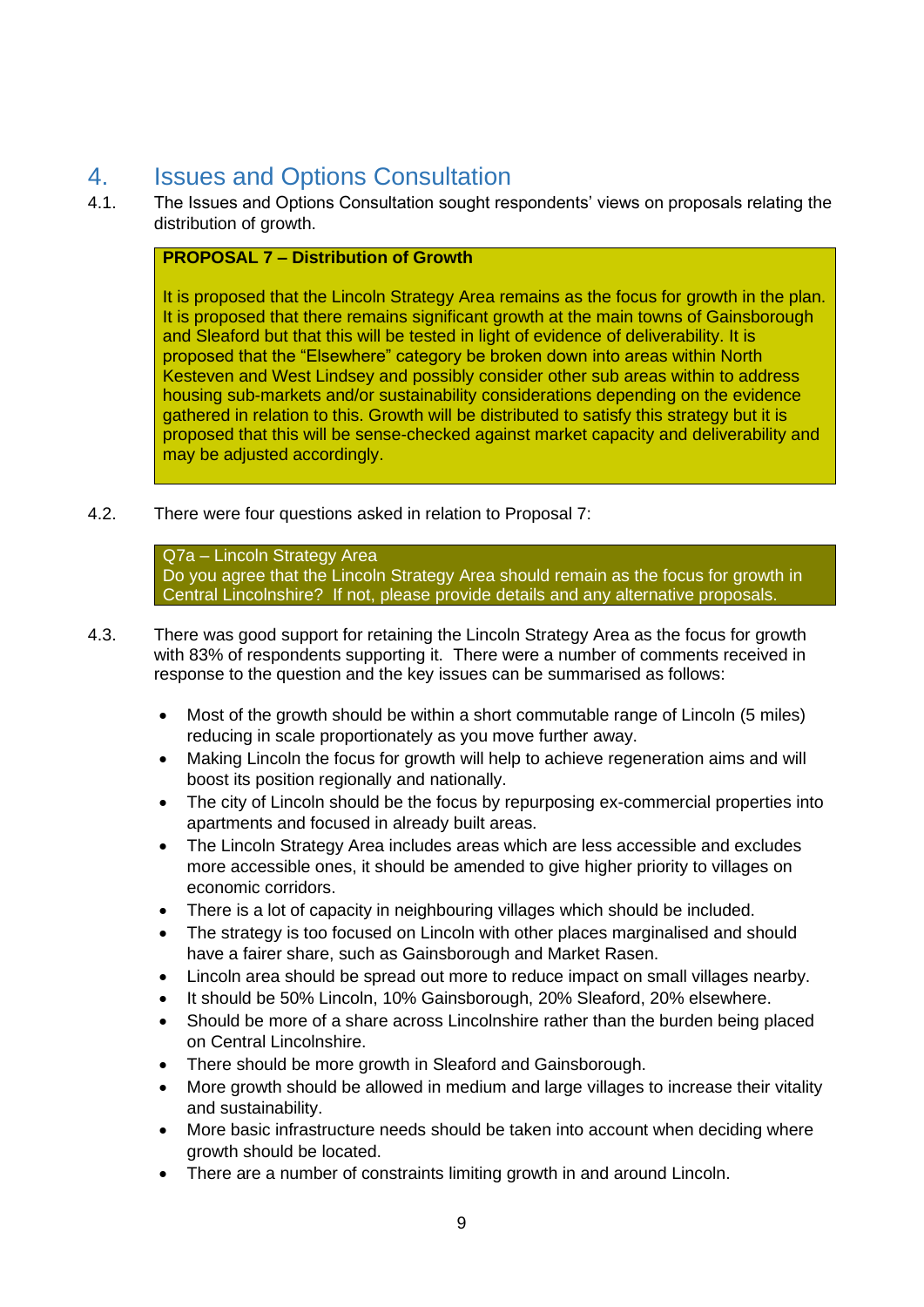## <span id="page-8-0"></span>4. Issues and Options Consultation

4.1. The Issues and Options Consultation sought respondents' views on proposals relating the distribution of growth.

#### **PROPOSAL 7 – Distribution of Growth**

It is proposed that the Lincoln Strategy Area remains as the focus for growth in the plan. It is proposed that there remains significant growth at the main towns of Gainsborough and Sleaford but that this will be tested in light of evidence of deliverability. It is proposed that the "Elsewhere" category be broken down into areas within North Kesteven and West Lindsey and possibly consider other sub areas within to address housing sub-markets and/or sustainability considerations depending on the evidence gathered in relation to this. Growth will be distributed to satisfy this strategy but it is proposed that this will be sense-checked against market capacity and deliverability and may be adjusted accordingly.

4.2. There were four questions asked in relation to Proposal 7:

Q7a – Lincoln Strategy Area Do you agree that the Lincoln Strategy Area should remain as the focus for growth in Central Lincolnshire? If not, please provide details and any alternative proposals.

- 4.3. There was good support for retaining the Lincoln Strategy Area as the focus for growth with 83% of respondents supporting it. There were a number of comments received in response to the question and the key issues can be summarised as follows:
	- Most of the growth should be within a short commutable range of Lincoln (5 miles) reducing in scale proportionately as you move further away.
	- Making Lincoln the focus for growth will help to achieve regeneration aims and will boost its position regionally and nationally.
	- The city of Lincoln should be the focus by repurposing ex-commercial properties into apartments and focused in already built areas.
	- The Lincoln Strategy Area includes areas which are less accessible and excludes more accessible ones, it should be amended to give higher priority to villages on economic corridors.
	- There is a lot of capacity in neighbouring villages which should be included.
	- The strategy is too focused on Lincoln with other places marginalised and should have a fairer share, such as Gainsborough and Market Rasen.
	- Lincoln area should be spread out more to reduce impact on small villages nearby.
	- It should be 50% Lincoln, 10% Gainsborough, 20% Sleaford, 20% elsewhere.
	- Should be more of a share across Lincolnshire rather than the burden being placed on Central Lincolnshire.
	- There should be more growth in Sleaford and Gainsborough.
	- More growth should be allowed in medium and large villages to increase their vitality and sustainability.
	- More basic infrastructure needs should be taken into account when deciding where growth should be located.
	- There are a number of constraints limiting growth in and around Lincoln.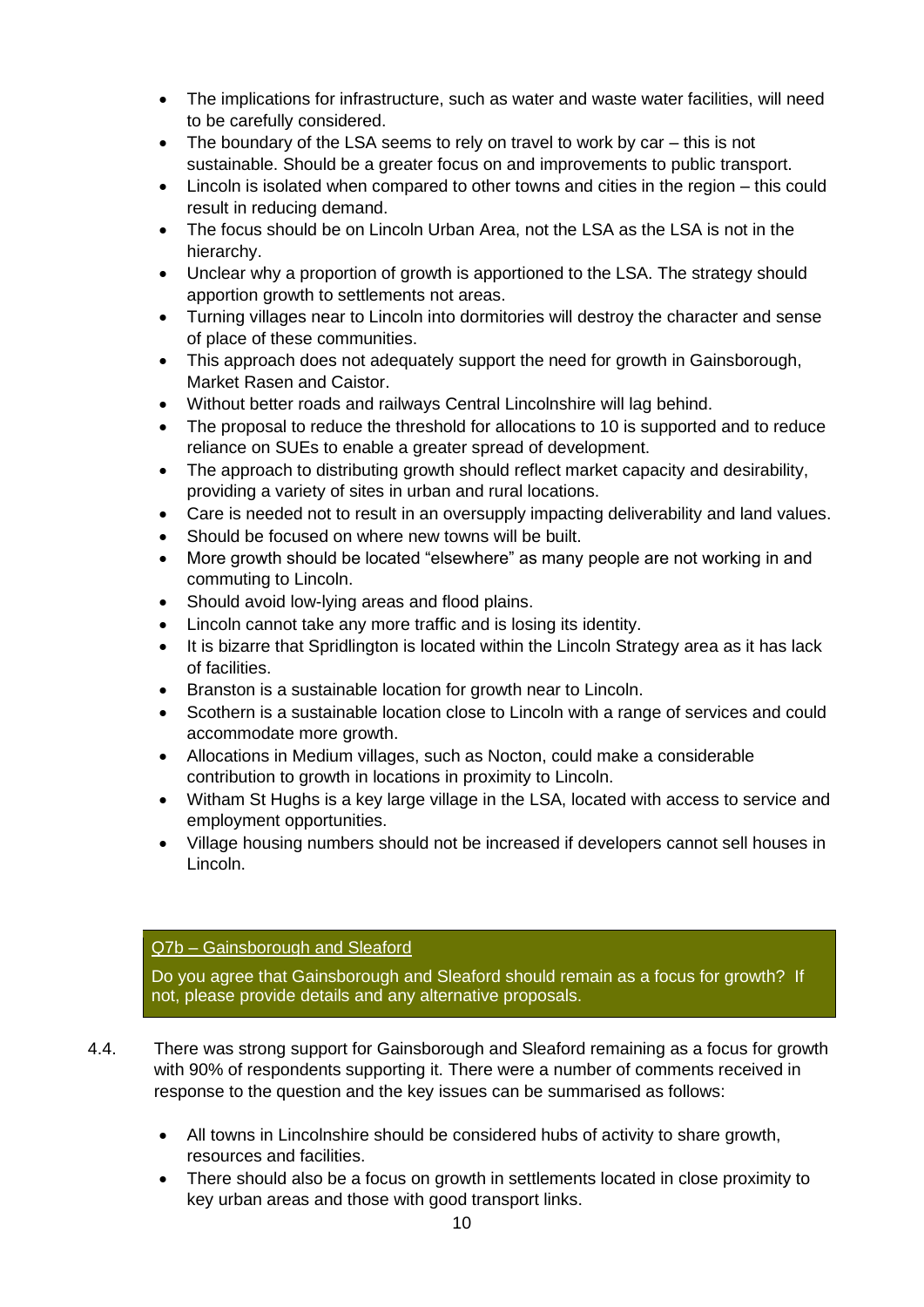- The implications for infrastructure, such as water and waste water facilities, will need to be carefully considered.
- The boundary of the LSA seems to rely on travel to work by car this is not sustainable. Should be a greater focus on and improvements to public transport.
- Lincoln is isolated when compared to other towns and cities in the region this could result in reducing demand.
- The focus should be on Lincoln Urban Area, not the LSA as the LSA is not in the hierarchy.
- Unclear why a proportion of growth is apportioned to the LSA. The strategy should apportion growth to settlements not areas.
- Turning villages near to Lincoln into dormitories will destroy the character and sense of place of these communities.
- This approach does not adequately support the need for growth in Gainsborough, Market Rasen and Caistor.
- Without better roads and railways Central Lincolnshire will lag behind.
- The proposal to reduce the threshold for allocations to 10 is supported and to reduce reliance on SUEs to enable a greater spread of development.
- The approach to distributing growth should reflect market capacity and desirability. providing a variety of sites in urban and rural locations.
- Care is needed not to result in an oversupply impacting deliverability and land values.
- Should be focused on where new towns will be built.
- More growth should be located "elsewhere" as many people are not working in and commuting to Lincoln.
- Should avoid low-lying areas and flood plains.
- Lincoln cannot take any more traffic and is losing its identity.
- It is bizarre that Spridlington is located within the Lincoln Strategy area as it has lack of facilities.
- Branston is a sustainable location for growth near to Lincoln.
- Scothern is a sustainable location close to Lincoln with a range of services and could accommodate more growth.
- Allocations in Medium villages, such as Nocton, could make a considerable contribution to growth in locations in proximity to Lincoln.
- Witham St Hughs is a key large village in the LSA, located with access to service and employment opportunities.
- Village housing numbers should not be increased if developers cannot sell houses in Lincoln.

#### Q7b – Gainsborough and Sleaford

Do you agree that Gainsborough and Sleaford should remain as a focus for growth? If not, please provide details and any alternative proposals.

4.4. There was strong support for Gainsborough and Sleaford remaining as a focus for growth with 90% of respondents supporting it. There were a number of comments received in response to the question and the key issues can be summarised as follows:

- All towns in Lincolnshire should be considered hubs of activity to share growth, resources and facilities.
- There should also be a focus on growth in settlements located in close proximity to key urban areas and those with good transport links.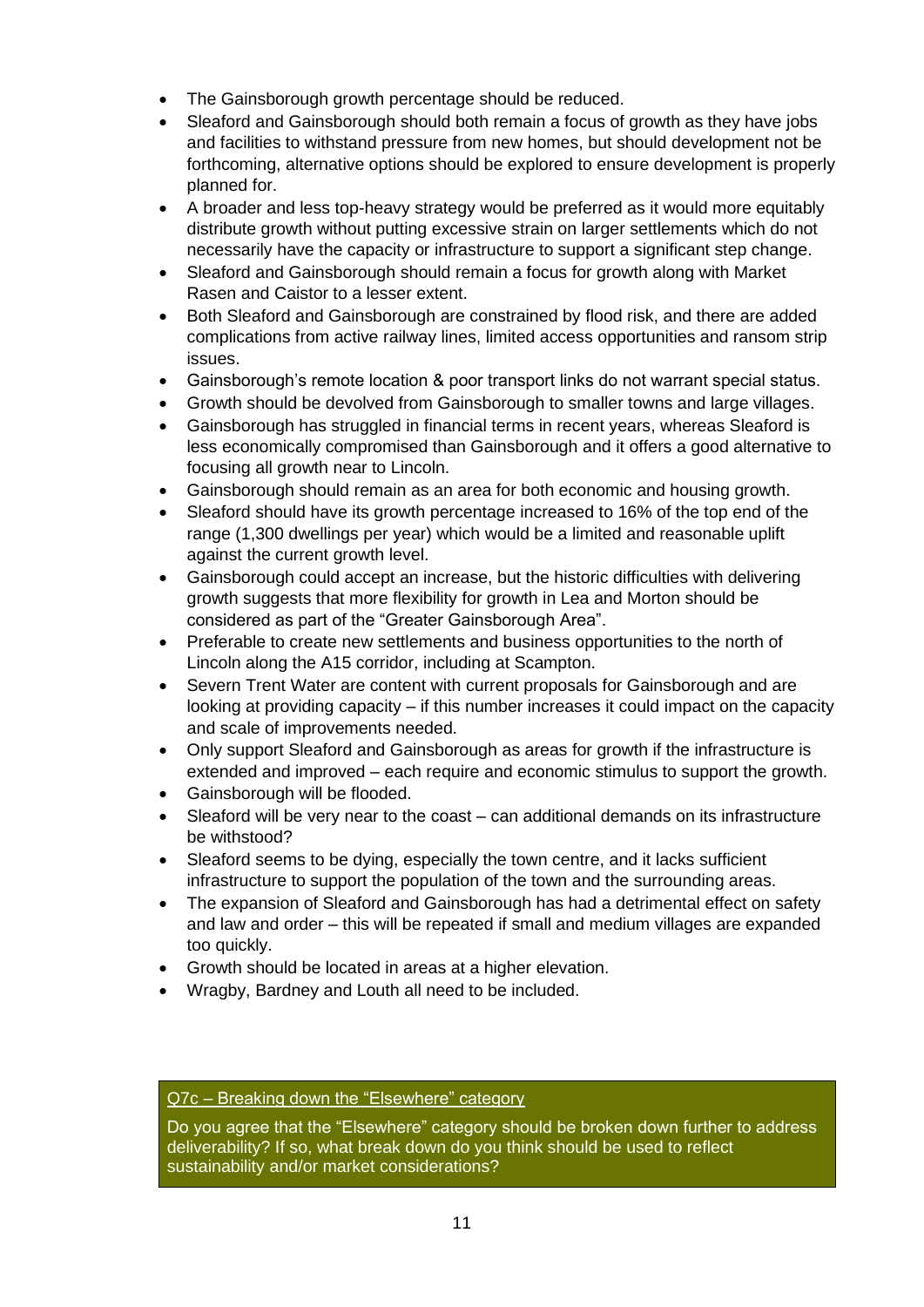- The Gainsborough growth percentage should be reduced.
- Sleaford and Gainsborough should both remain a focus of growth as they have jobs and facilities to withstand pressure from new homes, but should development not be forthcoming, alternative options should be explored to ensure development is properly planned for.
- A broader and less top-heavy strategy would be preferred as it would more equitably distribute growth without putting excessive strain on larger settlements which do not necessarily have the capacity or infrastructure to support a significant step change.
- Sleaford and Gainsborough should remain a focus for growth along with Market Rasen and Caistor to a lesser extent.
- Both Sleaford and Gainsborough are constrained by flood risk, and there are added complications from active railway lines, limited access opportunities and ransom strip issues.
- Gainsborough's remote location & poor transport links do not warrant special status.
- Growth should be devolved from Gainsborough to smaller towns and large villages.
- Gainsborough has struggled in financial terms in recent years, whereas Sleaford is less economically compromised than Gainsborough and it offers a good alternative to focusing all growth near to Lincoln.
- Gainsborough should remain as an area for both economic and housing growth.
- Sleaford should have its growth percentage increased to 16% of the top end of the range (1,300 dwellings per year) which would be a limited and reasonable uplift against the current growth level.
- Gainsborough could accept an increase, but the historic difficulties with delivering growth suggests that more flexibility for growth in Lea and Morton should be considered as part of the "Greater Gainsborough Area".
- Preferable to create new settlements and business opportunities to the north of Lincoln along the A15 corridor, including at Scampton.
- Severn Trent Water are content with current proposals for Gainsborough and are looking at providing capacity – if this number increases it could impact on the capacity and scale of improvements needed.
- Only support Sleaford and Gainsborough as areas for growth if the infrastructure is extended and improved – each require and economic stimulus to support the growth.
- Gainsborough will be flooded.
- Sleaford will be very near to the coast can additional demands on its infrastructure be withstood?
- Sleaford seems to be dying, especially the town centre, and it lacks sufficient infrastructure to support the population of the town and the surrounding areas.
- The expansion of Sleaford and Gainsborough has had a detrimental effect on safety and law and order – this will be repeated if small and medium villages are expanded too quickly.
- Growth should be located in areas at a higher elevation.
- Wragby, Bardney and Louth all need to be included.

#### Q7c – Breaking down the "Elsewhere" category

Do you agree that the "Elsewhere" category should be broken down further to address deliverability? If so, what break down do you think should be used to reflect sustainability and/or market considerations?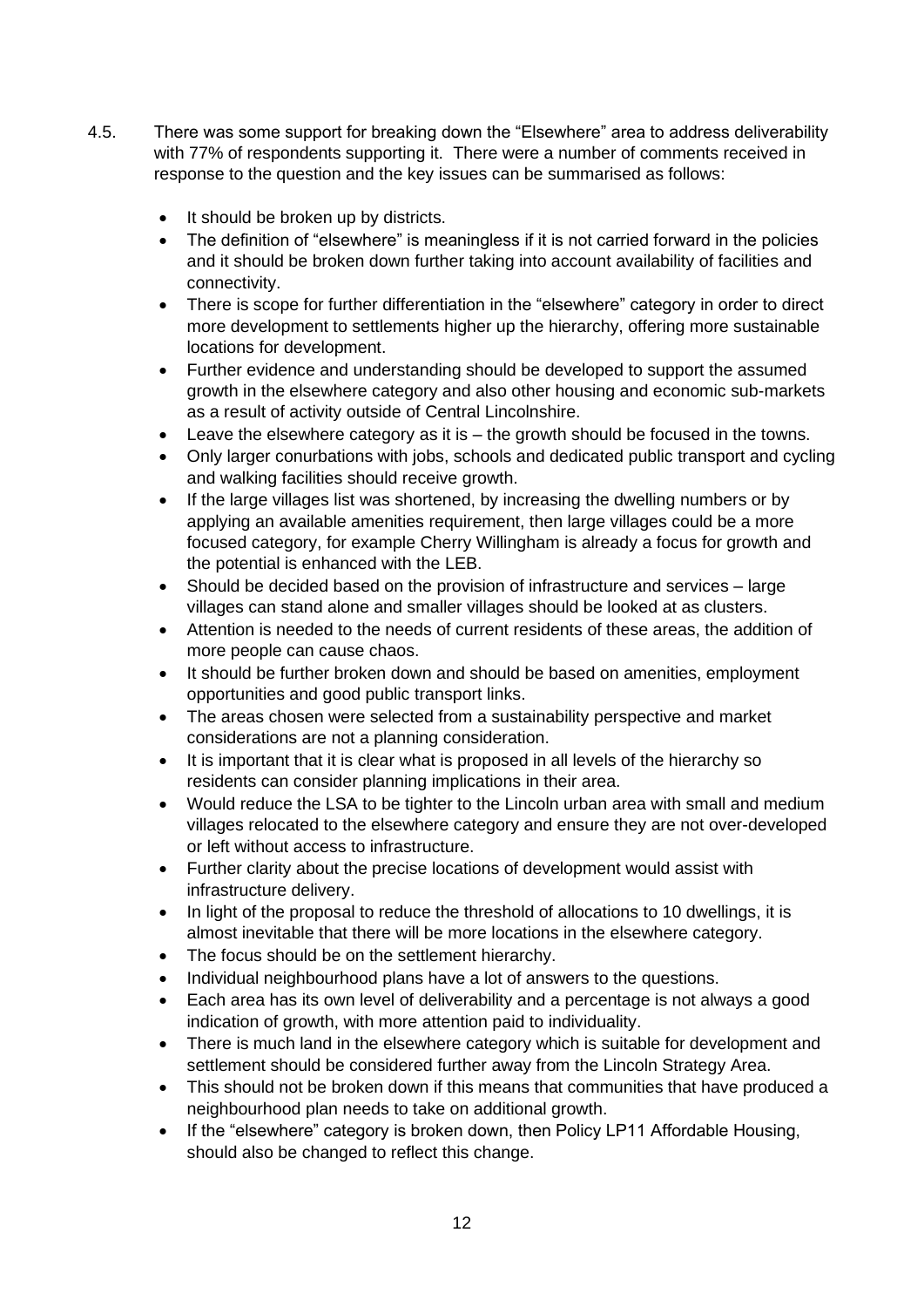- 4.5. There was some support for breaking down the "Elsewhere" area to address deliverability with 77% of respondents supporting it. There were a number of comments received in response to the question and the key issues can be summarised as follows:
	- It should be broken up by districts.
	- The definition of "elsewhere" is meaningless if it is not carried forward in the policies and it should be broken down further taking into account availability of facilities and connectivity.
	- There is scope for further differentiation in the "elsewhere" category in order to direct more development to settlements higher up the hierarchy, offering more sustainable locations for development.
	- Further evidence and understanding should be developed to support the assumed growth in the elsewhere category and also other housing and economic sub-markets as a result of activity outside of Central Lincolnshire.
	- Leave the elsewhere category as it is the growth should be focused in the towns.
	- Only larger conurbations with jobs, schools and dedicated public transport and cycling and walking facilities should receive growth.
	- If the large villages list was shortened, by increasing the dwelling numbers or by applying an available amenities requirement, then large villages could be a more focused category, for example Cherry Willingham is already a focus for growth and the potential is enhanced with the LEB.
	- Should be decided based on the provision of infrastructure and services large villages can stand alone and smaller villages should be looked at as clusters.
	- Attention is needed to the needs of current residents of these areas, the addition of more people can cause chaos.
	- It should be further broken down and should be based on amenities, employment opportunities and good public transport links.
	- The areas chosen were selected from a sustainability perspective and market considerations are not a planning consideration.
	- It is important that it is clear what is proposed in all levels of the hierarchy so residents can consider planning implications in their area.
	- Would reduce the LSA to be tighter to the Lincoln urban area with small and medium villages relocated to the elsewhere category and ensure they are not over-developed or left without access to infrastructure.
	- Further clarity about the precise locations of development would assist with infrastructure delivery.
	- In light of the proposal to reduce the threshold of allocations to 10 dwellings, it is almost inevitable that there will be more locations in the elsewhere category.
	- The focus should be on the settlement hierarchy.
	- Individual neighbourhood plans have a lot of answers to the questions.
	- Each area has its own level of deliverability and a percentage is not always a good indication of growth, with more attention paid to individuality.
	- There is much land in the elsewhere category which is suitable for development and settlement should be considered further away from the Lincoln Strategy Area.
	- This should not be broken down if this means that communities that have produced a neighbourhood plan needs to take on additional growth.
	- If the "elsewhere" category is broken down, then Policy LP11 Affordable Housing, should also be changed to reflect this change.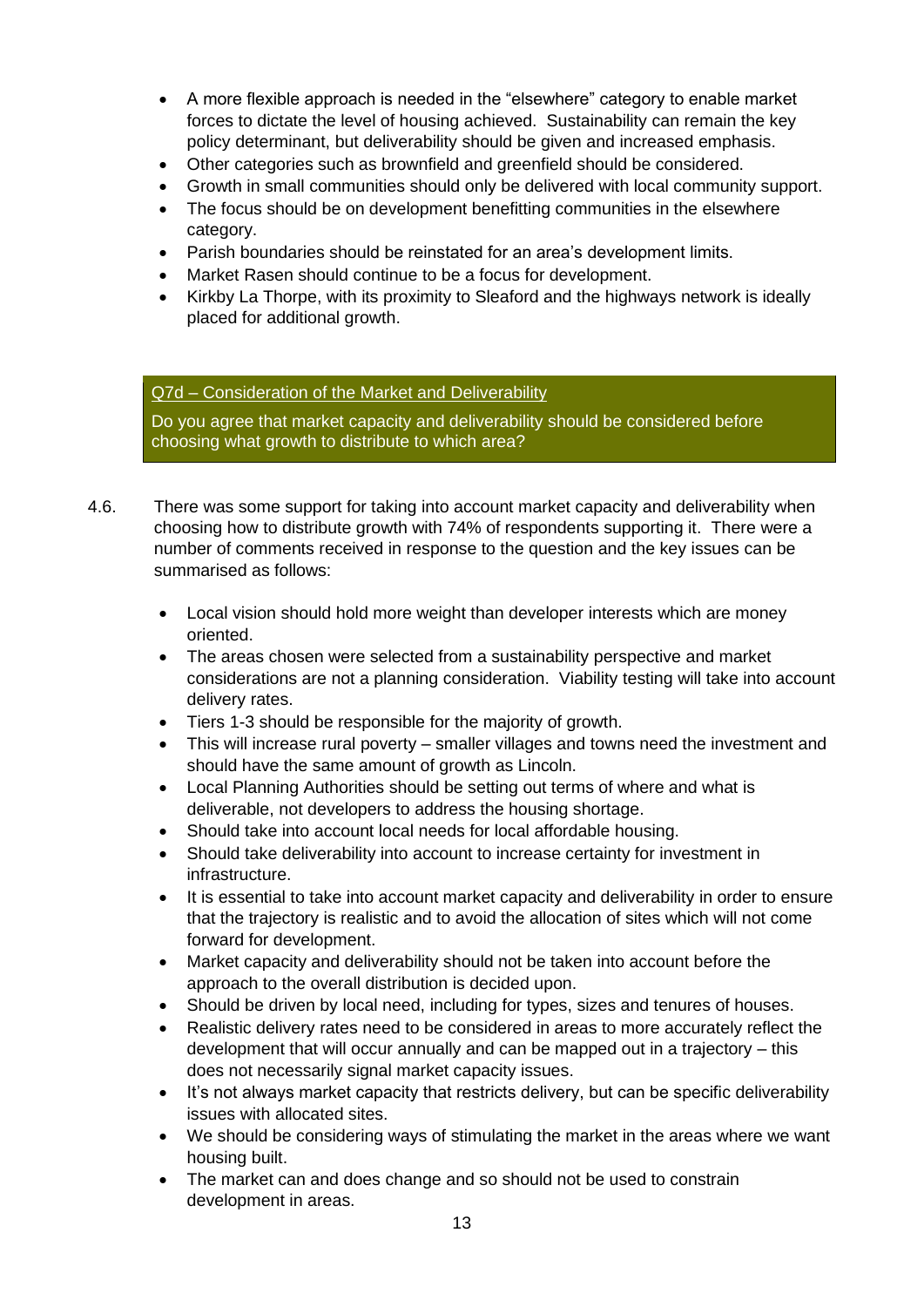- A more flexible approach is needed in the "elsewhere" category to enable market forces to dictate the level of housing achieved. Sustainability can remain the key policy determinant, but deliverability should be given and increased emphasis.
- Other categories such as brownfield and greenfield should be considered.
- Growth in small communities should only be delivered with local community support.
- The focus should be on development benefitting communities in the elsewhere category.
- Parish boundaries should be reinstated for an area's development limits.
- Market Rasen should continue to be a focus for development.
- Kirkby La Thorpe, with its proximity to Sleaford and the highways network is ideally placed for additional growth.

#### Q7d – Consideration of the Market and Deliverability

Do you agree that market capacity and deliverability should be considered before choosing what growth to distribute to which area?

- 4.6. There was some support for taking into account market capacity and deliverability when choosing how to distribute growth with 74% of respondents supporting it. There were a number of comments received in response to the question and the key issues can be summarised as follows:
	- Local vision should hold more weight than developer interests which are money oriented.
	- The areas chosen were selected from a sustainability perspective and market considerations are not a planning consideration. Viability testing will take into account delivery rates.
	- Tiers 1-3 should be responsible for the majority of growth.
	- This will increase rural poverty smaller villages and towns need the investment and should have the same amount of growth as Lincoln.
	- Local Planning Authorities should be setting out terms of where and what is deliverable, not developers to address the housing shortage.
	- Should take into account local needs for local affordable housing.
	- Should take deliverability into account to increase certainty for investment in infrastructure.
	- It is essential to take into account market capacity and deliverability in order to ensure that the trajectory is realistic and to avoid the allocation of sites which will not come forward for development.
	- Market capacity and deliverability should not be taken into account before the approach to the overall distribution is decided upon.
	- Should be driven by local need, including for types, sizes and tenures of houses.
	- Realistic delivery rates need to be considered in areas to more accurately reflect the development that will occur annually and can be mapped out in a trajectory – this does not necessarily signal market capacity issues.
	- It's not always market capacity that restricts delivery, but can be specific deliverability issues with allocated sites.
	- We should be considering ways of stimulating the market in the areas where we want housing built.
	- The market can and does change and so should not be used to constrain development in areas.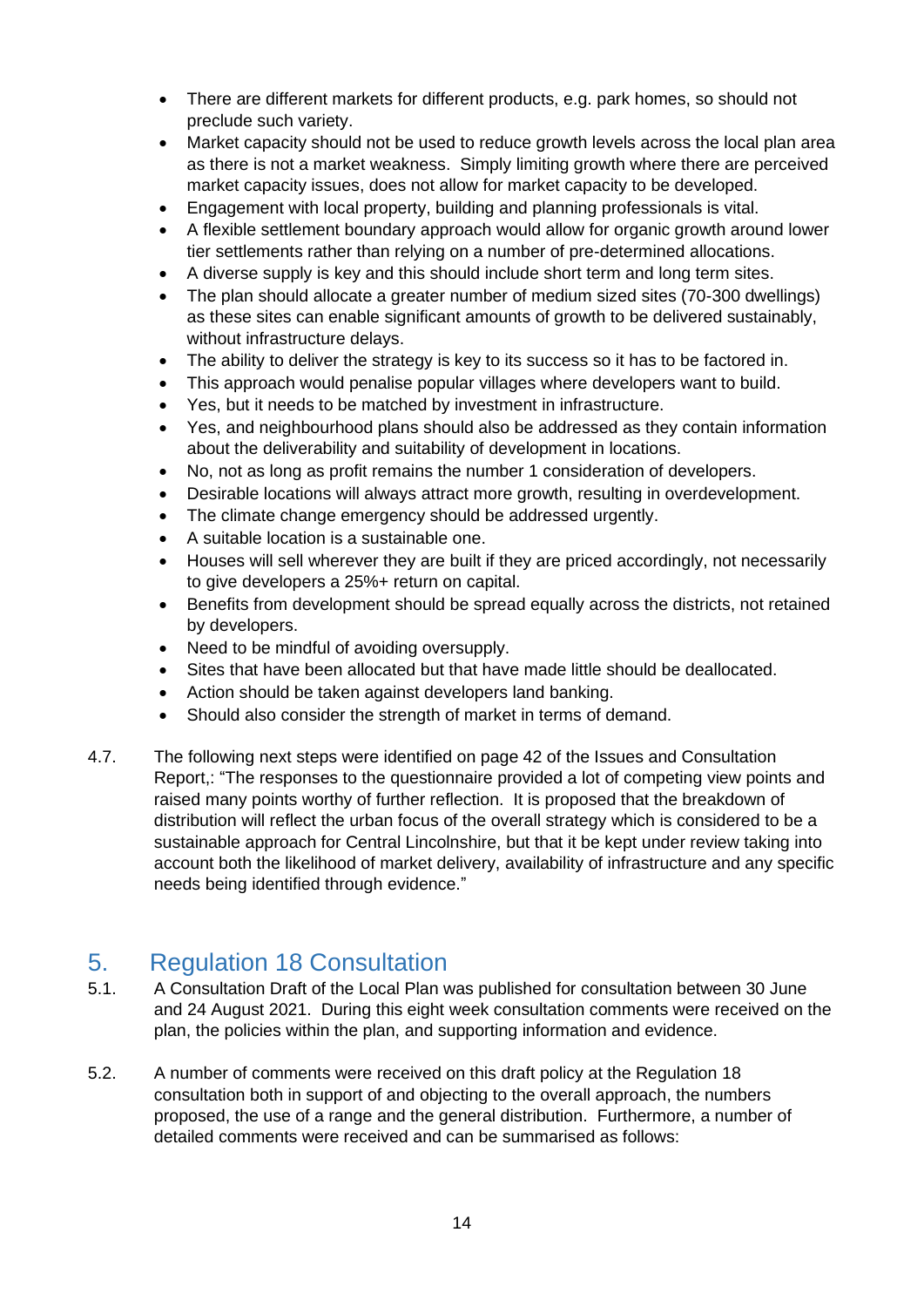- There are different markets for different products, e.g. park homes, so should not preclude such variety.
- Market capacity should not be used to reduce growth levels across the local plan area as there is not a market weakness. Simply limiting growth where there are perceived market capacity issues, does not allow for market capacity to be developed.
- Engagement with local property, building and planning professionals is vital.
- A flexible settlement boundary approach would allow for organic growth around lower tier settlements rather than relying on a number of pre-determined allocations.
- A diverse supply is key and this should include short term and long term sites.
- The plan should allocate a greater number of medium sized sites (70-300 dwellings) as these sites can enable significant amounts of growth to be delivered sustainably, without infrastructure delays.
- The ability to deliver the strategy is key to its success so it has to be factored in.
- This approach would penalise popular villages where developers want to build.
- Yes, but it needs to be matched by investment in infrastructure.
- Yes, and neighbourhood plans should also be addressed as they contain information about the deliverability and suitability of development in locations.
- No, not as long as profit remains the number 1 consideration of developers.
- Desirable locations will always attract more growth, resulting in overdevelopment.
- The climate change emergency should be addressed urgently.
- A suitable location is a sustainable one.
- Houses will sell wherever they are built if they are priced accordingly, not necessarily to give developers a 25%+ return on capital.
- Benefits from development should be spread equally across the districts, not retained by developers.
- Need to be mindful of avoiding oversupply.
- Sites that have been allocated but that have made little should be deallocated.
- Action should be taken against developers land banking.
- Should also consider the strength of market in terms of demand.
- 4.7. The following next steps were identified on page 42 of the Issues and Consultation Report,: "The responses to the questionnaire provided a lot of competing view points and raised many points worthy of further reflection. It is proposed that the breakdown of distribution will reflect the urban focus of the overall strategy which is considered to be a sustainable approach for Central Lincolnshire, but that it be kept under review taking into account both the likelihood of market delivery, availability of infrastructure and any specific needs being identified through evidence."

### <span id="page-13-0"></span>5. Regulation 18 Consultation

- 5.1. A Consultation Draft of the Local Plan was published for consultation between 30 June and 24 August 2021. During this eight week consultation comments were received on the plan, the policies within the plan, and supporting information and evidence.
- 5.2. A number of comments were received on this draft policy at the Regulation 18 consultation both in support of and objecting to the overall approach, the numbers proposed, the use of a range and the general distribution. Furthermore, a number of detailed comments were received and can be summarised as follows: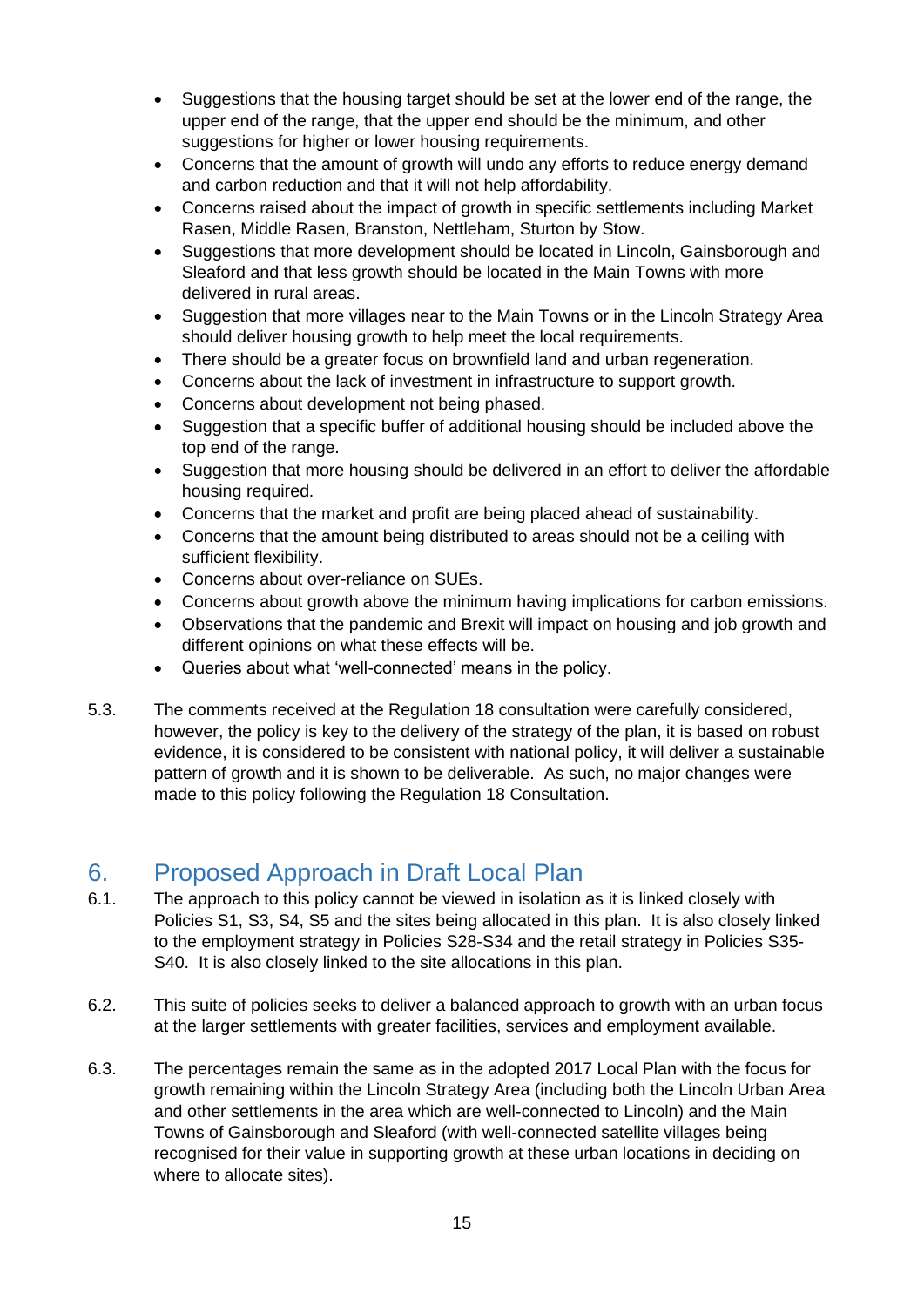- Suggestions that the housing target should be set at the lower end of the range, the upper end of the range, that the upper end should be the minimum, and other suggestions for higher or lower housing requirements.
- Concerns that the amount of growth will undo any efforts to reduce energy demand and carbon reduction and that it will not help affordability.
- Concerns raised about the impact of growth in specific settlements including Market Rasen, Middle Rasen, Branston, Nettleham, Sturton by Stow.
- Suggestions that more development should be located in Lincoln, Gainsborough and Sleaford and that less growth should be located in the Main Towns with more delivered in rural areas.
- Suggestion that more villages near to the Main Towns or in the Lincoln Strategy Area should deliver housing growth to help meet the local requirements.
- There should be a greater focus on brownfield land and urban regeneration.
- Concerns about the lack of investment in infrastructure to support growth.
- Concerns about development not being phased.
- Suggestion that a specific buffer of additional housing should be included above the top end of the range.
- Suggestion that more housing should be delivered in an effort to deliver the affordable housing required.
- Concerns that the market and profit are being placed ahead of sustainability.
- Concerns that the amount being distributed to areas should not be a ceiling with sufficient flexibility.
- Concerns about over-reliance on SUEs.
- Concerns about growth above the minimum having implications for carbon emissions.
- Observations that the pandemic and Brexit will impact on housing and job growth and different opinions on what these effects will be.
- Queries about what 'well-connected' means in the policy.
- 5.3. The comments received at the Regulation 18 consultation were carefully considered, however, the policy is key to the delivery of the strategy of the plan, it is based on robust evidence, it is considered to be consistent with national policy, it will deliver a sustainable pattern of growth and it is shown to be deliverable. As such, no major changes were made to this policy following the Regulation 18 Consultation.

### <span id="page-14-0"></span>6. Proposed Approach in Draft Local Plan

- 6.1. The approach to this policy cannot be viewed in isolation as it is linked closely with Policies S1, S3, S4, S5 and the sites being allocated in this plan. It is also closely linked to the employment strategy in Policies S28-S34 and the retail strategy in Policies S35- S40. It is also closely linked to the site allocations in this plan.
- 6.2. This suite of policies seeks to deliver a balanced approach to growth with an urban focus at the larger settlements with greater facilities, services and employment available.
- 6.3. The percentages remain the same as in the adopted 2017 Local Plan with the focus for growth remaining within the Lincoln Strategy Area (including both the Lincoln Urban Area and other settlements in the area which are well-connected to Lincoln) and the Main Towns of Gainsborough and Sleaford (with well-connected satellite villages being recognised for their value in supporting growth at these urban locations in deciding on where to allocate sites).